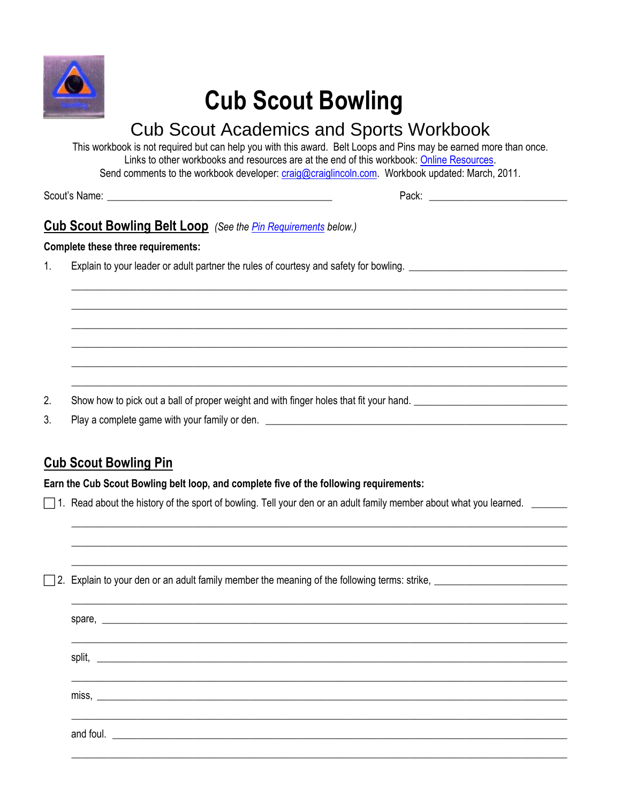

# **Cub Scout Bowling**

## **Cub Scout Academics and Sports Workbook**

This workbook is not required but can help you with this award. Belt Loops and Pins may be earned more than once. Links to other workbooks and resources are at the end of this workbook: Online Resources. Send comments to the workbook developer: craig@craiglincoln.com. Workbook updated: March, 2011.

#### **Cub Scout Bowling Belt Loop** (See the Pin Requirements below.)

#### **Complete these three requirements:**

Explain to your leader or adult partner the rules of courtesy and safety for bowling.  $1<sub>1</sub>$ 

- $2.$ Show how to pick out a ball of proper weight and with finger holes that fit your hand.
- 3. Play a complete game with your family or den. <u>The same and the set of the set of the set of the set of the set of</u>

### <span id="page-0-0"></span>**Cub Scout Bowling Pin**

Earn the Cub Scout Bowling belt loop, and complete five of the following requirements:

 $\Box$  1. Read about the history of the sport of bowling. Tell your den or an adult family member about what you learned.

| miss, $\overline{\phantom{a}}$ |  |  |
|--------------------------------|--|--|
|                                |  |  |